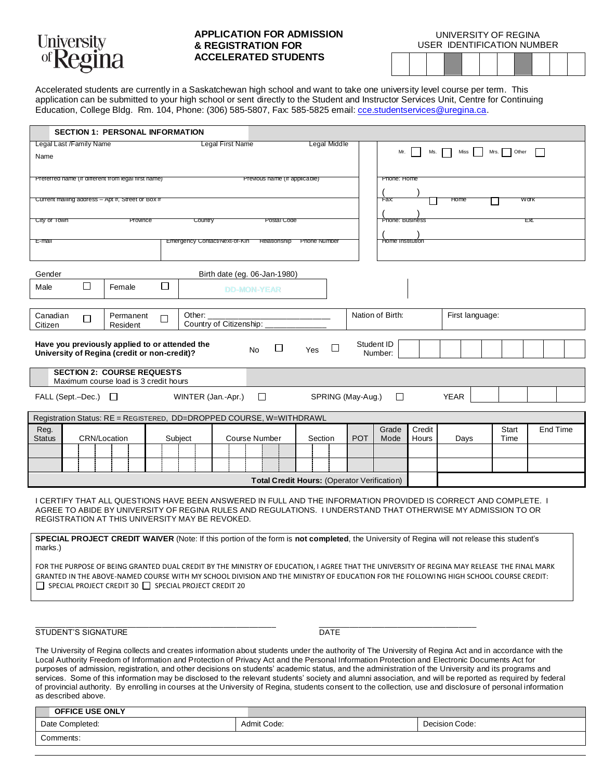

Comments:

## **APPLICATION FOR ADMISSION & REGISTRATION FOR ACCELERATED STUDENTS**

UNIVERSITY OF REGINA USER IDENTIFICATION NUMBER

Accelerated students are currently in a Saskatchewan high school and want to take one university level course per term. This application can be submitted to your high school or sent directly to the Student and Instructor Services Unit, Centre for Continuing Education, College Bldg. Rm. 104, Phone: (306) 585-5807, Fax: 585-5825 email[: cce.studentservices@uregina.ca.](mailto:cce.studentservices@uregina.ca)

|                                                                                                                                                                                                                                                                                                                           | <b>SECTION 1: PERSONAL INFORMATION</b> |        |         |                         |                                                         |         |                                     |                 |                       |        |                 |       |          |  |  |
|---------------------------------------------------------------------------------------------------------------------------------------------------------------------------------------------------------------------------------------------------------------------------------------------------------------------------|----------------------------------------|--------|---------|-------------------------|---------------------------------------------------------|---------|-------------------------------------|-----------------|-----------------------|--------|-----------------|-------|----------|--|--|
| Legal Last /Family Name<br><b>Legal First Name</b>                                                                                                                                                                                                                                                                        |                                        |        |         | <b>Legal Middle</b>     |                                                         |         | Other<br>Mr.<br>Ms.<br>Miss<br>Mrs. |                 |                       |        |                 |       |          |  |  |
|                                                                                                                                                                                                                                                                                                                           | Name                                   |        |         |                         |                                                         |         |                                     |                 |                       |        |                 |       |          |  |  |
| Preferred name (if different from legal first name)                                                                                                                                                                                                                                                                       |                                        |        |         |                         | Previous name (if applicable)                           |         |                                     | Phone: Home     |                       |        |                 |       |          |  |  |
| Current mailing address - Apt #, Street or Box #                                                                                                                                                                                                                                                                          |                                        |        |         |                         |                                                         |         |                                     | Fax:            |                       | Home   |                 | Work  |          |  |  |
| City or Town<br>Country<br>Province                                                                                                                                                                                                                                                                                       |                                        |        |         | Postal Code             |                                                         |         |                                     | Phone: Business |                       |        |                 | EХI.  |          |  |  |
|                                                                                                                                                                                                                                                                                                                           |                                        |        |         |                         |                                                         |         |                                     |                 |                       |        |                 |       |          |  |  |
| Emergency Contact/Next-of-Kin<br>E-mail                                                                                                                                                                                                                                                                                   |                                        |        |         |                         | Relationship<br>Home Institution<br><b>Phone Number</b> |         |                                     |                 |                       |        |                 |       |          |  |  |
|                                                                                                                                                                                                                                                                                                                           |                                        |        |         |                         |                                                         |         |                                     |                 |                       |        |                 |       |          |  |  |
| Gender<br>Birth date (eg. 06-Jan-1980)                                                                                                                                                                                                                                                                                    |                                        |        |         |                         |                                                         |         |                                     |                 |                       |        |                 |       |          |  |  |
| $\Box$<br>Male                                                                                                                                                                                                                                                                                                            | Female                                 | □      |         |                         | <b>DD-MON-YEAR</b>                                      |         |                                     |                 |                       |        |                 |       |          |  |  |
|                                                                                                                                                                                                                                                                                                                           |                                        |        |         |                         |                                                         |         |                                     |                 |                       |        |                 |       |          |  |  |
| Canadian<br>$\Box$<br>Citizen                                                                                                                                                                                                                                                                                             | Permanent<br>Resident                  | $\Box$ | Other:  | Country of Citizenship: |                                                         |         |                                     |                 | Nation of Birth:      |        | First language: |       |          |  |  |
|                                                                                                                                                                                                                                                                                                                           |                                        |        |         |                         |                                                         |         |                                     |                 |                       |        |                 |       |          |  |  |
| Have you previously applied to or attended the<br>University of Regina (credit or non-credit)?                                                                                                                                                                                                                            |                                        |        |         |                         | □<br><b>No</b>                                          | Yes     | □                                   |                 | Student ID<br>Number: |        |                 |       |          |  |  |
|                                                                                                                                                                                                                                                                                                                           |                                        |        |         |                         |                                                         |         |                                     |                 |                       |        |                 |       |          |  |  |
| <b>SECTION 2: COURSE REQUESTS</b><br>Maximum course load is 3 credit hours                                                                                                                                                                                                                                                |                                        |        |         |                         |                                                         |         |                                     |                 |                       |        |                 |       |          |  |  |
| $\Box$<br>SPRING (May-Aug.)<br>$\Box$<br><b>YEAR</b><br>$\mathsf{FALL}$ (Sept.-Dec.) $\Box$<br>WINTER (Jan.-Apr.)                                                                                                                                                                                                         |                                        |        |         |                         |                                                         |         |                                     |                 |                       |        |                 |       |          |  |  |
|                                                                                                                                                                                                                                                                                                                           |                                        |        |         |                         |                                                         |         |                                     |                 |                       |        |                 |       |          |  |  |
| Registration Status: RE = REGISTERED, DD=DROPPED COURSE, W=WITHDRAWL<br>Reg.                                                                                                                                                                                                                                              |                                        |        |         |                         |                                                         |         |                                     |                 | Grade                 | Credit |                 | Start | End Time |  |  |
| <b>Status</b>                                                                                                                                                                                                                                                                                                             | <b>CRN/Location</b>                    |        | Subject |                         | Course Number                                           | Section |                                     | <b>POT</b>      | Mode                  | Hours  | Days            | Time  |          |  |  |
|                                                                                                                                                                                                                                                                                                                           |                                        |        |         |                         |                                                         |         |                                     |                 |                       |        |                 |       |          |  |  |
|                                                                                                                                                                                                                                                                                                                           |                                        |        |         |                         |                                                         |         |                                     |                 |                       |        |                 |       |          |  |  |
| <b>Total Credit Hours: (Operator Verification)</b>                                                                                                                                                                                                                                                                        |                                        |        |         |                         |                                                         |         |                                     |                 |                       |        |                 |       |          |  |  |
|                                                                                                                                                                                                                                                                                                                           |                                        |        |         |                         |                                                         |         |                                     |                 |                       |        |                 |       |          |  |  |
| I CERTIFY THAT ALL QUESTIONS HAVE BEEN ANSWERED IN FULL AND THE INFORMATION PROVIDED IS CORRECT AND COMPLETE. I<br>AGREE TO ABIDE BY UNIVERSITY OF REGINA RULES AND REGULATIONS. I UNDERSTAND THAT OTHERWISE MY ADMISSION TO OR<br>REGISTRATION AT THIS UNIVERSITY MAY BE REVOKED.                                        |                                        |        |         |                         |                                                         |         |                                     |                 |                       |        |                 |       |          |  |  |
|                                                                                                                                                                                                                                                                                                                           |                                        |        |         |                         |                                                         |         |                                     |                 |                       |        |                 |       |          |  |  |
| SPECIAL PROJECT CREDIT WAIVER (Note: If this portion of the form is not completed, the University of Regina will not release this student's<br>marks.)                                                                                                                                                                    |                                        |        |         |                         |                                                         |         |                                     |                 |                       |        |                 |       |          |  |  |
| FOR THE PURPOSE OF BEING GRANTED DUAL CREDIT BY THE MINISTRY OF EDUCATION, I AGREE THAT THE UNIVERSITY OF REGINA MAY RELEASE THE FINAL MARK                                                                                                                                                                               |                                        |        |         |                         |                                                         |         |                                     |                 |                       |        |                 |       |          |  |  |
| GRANTED IN THE ABOVE-NAMED COURSE WITH MY SCHOOL DIVISION AND THE MINISTRY OF EDUCATION FOR THE FOLLOWING HIGH SCHOOL COURSE CREDIT:                                                                                                                                                                                      |                                        |        |         |                         |                                                         |         |                                     |                 |                       |        |                 |       |          |  |  |
| $\Box$ SPECIAL PROJECT CREDIT 30 $\Box$ SPECIAL PROJECT CREDIT 20                                                                                                                                                                                                                                                         |                                        |        |         |                         |                                                         |         |                                     |                 |                       |        |                 |       |          |  |  |
|                                                                                                                                                                                                                                                                                                                           |                                        |        |         |                         |                                                         |         |                                     |                 |                       |        |                 |       |          |  |  |
|                                                                                                                                                                                                                                                                                                                           |                                        |        |         |                         |                                                         |         |                                     |                 |                       |        |                 |       |          |  |  |
| STUDENT'S SIGNATURE<br>DATE                                                                                                                                                                                                                                                                                               |                                        |        |         |                         |                                                         |         |                                     |                 |                       |        |                 |       |          |  |  |
| The University of Regina collects and creates information about students under the authority of The University of Regina Act and in accordance with the                                                                                                                                                                   |                                        |        |         |                         |                                                         |         |                                     |                 |                       |        |                 |       |          |  |  |
| Local Authority Freedom of Information and Protection of Privacy Act and the Personal Information Protection and Electronic Documents Act for<br>purposes of admission, registration, and other decisions on students' academic status, and the administration of the University and its programs and                     |                                        |        |         |                         |                                                         |         |                                     |                 |                       |        |                 |       |          |  |  |
| services. Some of this information may be disclosed to the relevant students' society and alumni association, and will be reported as required by federal<br>of provincial authority. By enrolling in courses at the University of Regina, students consent to the collection, use and disclosure of personal information |                                        |        |         |                         |                                                         |         |                                     |                 |                       |        |                 |       |          |  |  |
| as described above.                                                                                                                                                                                                                                                                                                       |                                        |        |         |                         |                                                         |         |                                     |                 |                       |        |                 |       |          |  |  |
| OFFICE USE ONLY                                                                                                                                                                                                                                                                                                           |                                        |        |         |                         |                                                         |         |                                     |                 |                       |        |                 |       |          |  |  |

Date Completed: National Admit Code: Admit Code: Decision Code: Decision Code: